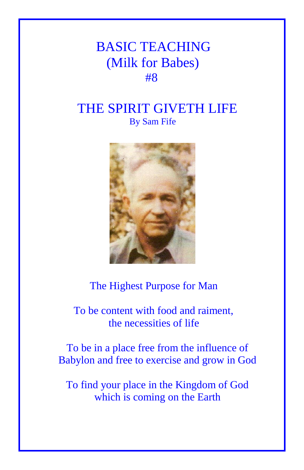## BASIC TEACHING (Milk for Babes) **#8**

## THE SPIRIT GIVETH LIFE By Sam Fife



## The Highest Purpose for Man

 To be content with food and raiment, the necessities of life

To be in a place free from the influence of Babylon and free to exercise and grow in God

To find your place in the Kingdom of God which is coming on the Earth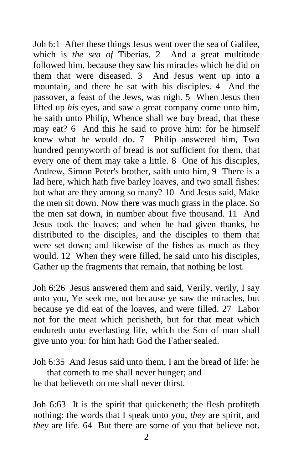Joh 6:1 After these things Jesus went over the sea of Galilee, which is *the sea of* Tiberias. 2 And a great multitude followed him, because they saw his miracles which he did on them that were diseased. 3 And Jesus went up into a mountain, and there he sat with his disciples. 4 And the passover, a feast of the Jews, was nigh. 5 When Jesus then lifted up *his* eyes, and saw a great company come unto him, he saith unto Philip, Whence shall we buy bread, that these may eat? 6 And this he said to prove him: for he himself knew what he would do. 7 Philip answered him, Two hundred pennyworth of bread is not sufficient for them, that every one of them may take a little. 8 One of his disciples, Andrew, Simon Peter's brother, saith unto him, 9 There is a lad here, which hath five barley loaves, and two small fishes: but what are they among so many? 10 And Jesus said, Make the men sit down. Now there was much grass in the place. So the men sat down, in number about five thousand. 11 And Jesus took the loaves; and when he had given thanks, he distributed to the disciples, and the disciples to them that were set down; and likewise of the fishes as much as they would. 12 When they were filled, he said unto his disciples, Gather up the fragments that remain, that nothing be lost.

Joh 6:26 Jesus answered them and said, Verily, verily, I say unto you, Ye seek me, not because ye saw the miracles, but because ye did eat of the loaves, and were filled. 27 Labor not for the meat which perisheth, but for that meat which endureth unto everlasting life, which the Son of man shall give unto you: for him hath God the Father sealed.

Joh 6:35 And Jesus said unto them, I am the bread of life: he that cometh to me shall never hunger; and he that believeth on me shall never thirst.

Joh 6:63 It is the spirit that quickeneth; the flesh profiteth nothing: the words that I speak unto you, *they* are spirit, and *they* are life. 64 But there are some of you that believe not.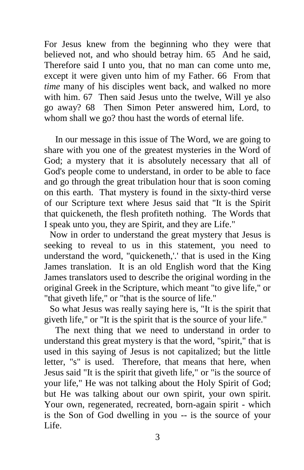For Jesus knew from the beginning who they were that believed not, and who should betray him. 65 And he said, Therefore said I unto you, that no man can come unto me, except it were given unto him of my Father. 66 From that *time* many of his disciples went back, and walked no more with him. 67 Then said Jesus unto the twelve, Will ye also go away? 68 Then Simon Peter answered him, Lord, to whom shall we go? thou hast the words of eternal life.

In our message in this issue of The Word, we are going to share with you one of the greatest mysteries in the Word of God; a mystery that it is absolutely necessary that all of God's people come to understand, in order to be able to face and go through the great tribulation hour that is soon coming on this earth. That mystery is found in the sixty-third verse of our Scripture text where Jesus said that "It is the Spirit that quickeneth, the flesh profiteth nothing. The Words that I speak unto you, they are Spirit, and they are Life."

Now in order to understand the great mystery that Jesus is seeking to reveal to us in this statement, you need to understand the word, "quickeneth,'.' that is used in the King James translation. It is an old English word that the King James translators used to describe the original wording in the original Greek in the Scripture, which meant "to give life," or "that giveth life," or "that is the source of life."

So what Jesus was really saying here is, "It is the spirit that giveth life," or "It is the spirit that is the source of your life."

The next thing that we need to understand in order to understand this great mystery is that the word, "spirit," that is used in this saying of Jesus is not capitalized; but the little letter, "s" is used. Therefore, that means that here, when Jesus said "It is the spirit that giveth life," or "is the source of your life," He was not talking about the Holy Spirit of God; but He was talking about our own spirit, your own spirit. Your own, regenerated, recreated, born-again spirit - which is the Son of God dwelling in you -- is the source of your Life.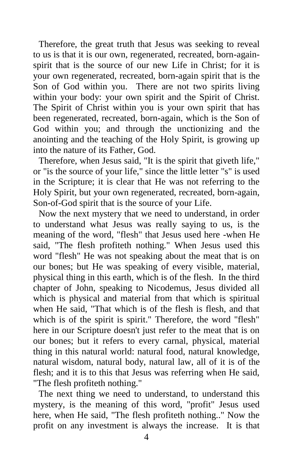Therefore, the great truth that Jesus was seeking to reveal to us is that it is our own, regenerated, recreated, born-againspirit that is the source of our new Life in Christ; for it is your own regenerated, recreated, born-again spirit that is the Son of God within you. There are not two spirits living within your body: your own spirit and the Spirit of Christ. The Spirit of Christ within you is your own spirit that has been regenerated, recreated, born-again, which is the Son of God within you; and through the unctionizing and the anointing and the teaching of the Holy Spirit, is growing up into the nature of its Father, God.

Therefore, when Jesus said, "It is the spirit that giveth life," or "is the source of your life," since the little letter "s" is used in the Scripture; it is clear that He was not referring to the Holy Spirit, but your own regenerated, recreated, born-again, Son-of-God spirit that is the source of your Life.

Now the next mystery that we need to understand, in order to understand what Jesus was really saying to us, is the meaning of the word, "flesh" that Jesus used here -when He said, "The flesh profiteth nothing." When Jesus used this word "flesh" He was not speaking about the meat that is on our bones; but He was speaking of every visible, material, physical thing in this earth, which is of the flesh. In the third chapter of John, speaking to Nicodemus, Jesus divided all which is physical and material from that which is spiritual when He said, "That which is of the flesh is flesh, and that which is of the spirit is spirit." Therefore, the word "flesh" here in our Scripture doesn't just refer to the meat that is on our bones; but it refers to every carnal, physical, material thing in this natural world: natural food, natural knowledge, natural wisdom, natural body, natural law, all of it is of the flesh; and it is to this that Jesus was referring when He said, "The flesh profiteth nothing."

The next thing we need to understand, to understand this mystery, is the meaning of this word, "profit" Jesus used here, when He said, "The flesh profiteth nothing.." Now the profit on any investment is always the increase. It is that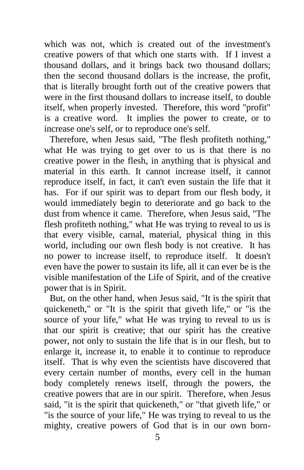which was not, which is created out of the investment's creative powers of that which one starts with. If I invest a thousand dollars, and it brings back two thousand dollars; then the second thousand dollars is the increase, the profit, that is literally brought forth out of the creative powers that were in the first thousand dollars to increase itself, to double itself, when properly invested. Therefore, this word "profit" is a creative word. It implies the power to create, or to increase one's self, or to reproduce one's self.

Therefore, when Jesus said, "The flesh profiteth nothing," what He was trying to get over to us is that there is no creative power in the flesh, in anything that is physical and material in this earth. It cannot increase itself, it cannot reproduce itself, in fact, it can't even sustain the life that it has. For if our spirit was to depart from our flesh body, it would immediately begin to deteriorate and go back to the dust from whence it came. Therefore, when Jesus said, "The flesh profiteth nothing," what He was trying to reveal to us is that every visible, carnal, material, physical thing in this world, including our own flesh body is not creative. It has no power to increase itself, to reproduce itself. It doesn't even have the power to sustain its life, all it can ever be is the visible manifestation of the Life of Spirit, and of the creative power that is in Spirit.

But, on the other hand, when Jesus said, "It is the spirit that quickeneth," or "It is the spirit that giveth life," or "is the source of your life," what He was trying to reveal to us is that our spirit is creative; that our spirit has the creative power, not only to sustain the life that is in our flesh, but to enlarge it, increase it, to enable it to continue to reproduce itself. That is why even the scientists have discovered that every certain number of months, every cell in the human body completely renews itself, through the powers, the creative powers that are in our spirit. Therefore, when Jesus said, "it is the spirit that quickeneth," or "that giveth life," or "is the source of your life," He was trying to reveal to us the mighty, creative powers of God that is in our own born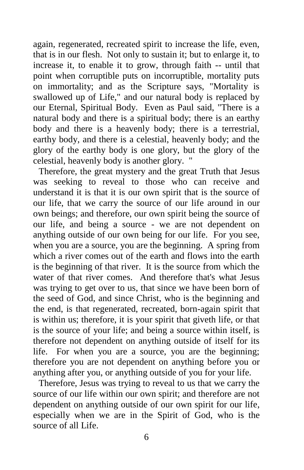again, regenerated, recreated spirit to increase the life, even, that is in our flesh. Not only to sustain it; but to enlarge it, to increase it, to enable it to grow, through faith -- until that point when corruptible puts on incorruptible, mortality puts on immortality; and as the Scripture says, "Mortality is swallowed up of Life," and our natural body is replaced by our Eternal, Spiritual Body. Even as Paul said, "There is a natural body and there is a spiritual body; there is an earthy body and there is a heavenly body; there is a terrestrial, earthy body, and there is a celestial, heavenly body; and the glory of the earthy body is one glory, but the glory of the celestial, heavenly body is another glory.

Therefore, the great mystery and the great Truth that Jesus was seeking to reveal to those who can receive and understand it is that it is our own spirit that is the source of our life, that we carry the source of our life around in our own beings; and therefore, our own spirit being the source of our life, and being a source - we are not dependent on anything outside of our own being for our life. For you see, when you are a source, you are the beginning. A spring from which a river comes out of the earth and flows into the earth is the beginning of that river. It is the source from which the water of that river comes. And therefore that's what Jesus was trying to get over to us, that since we have been born of the seed of God, and since Christ, who is the beginning and the end, is that regenerated, recreated, born-again spirit that is within us; therefore, it is your spirit that giveth life, or that is the source of your life; and being a source within itself, is therefore not dependent on anything outside of itself for its life. For when you are a source, you are the beginning; therefore you are not dependent on anything before you or anything after you, or anything outside of you for your life.

Therefore, Jesus was trying to reveal to us that we carry the source of our life within our own spirit; and therefore are not dependent on anything outside of our own spirit for our life, especially when we are in the Spirit of God, who is the source of all Life.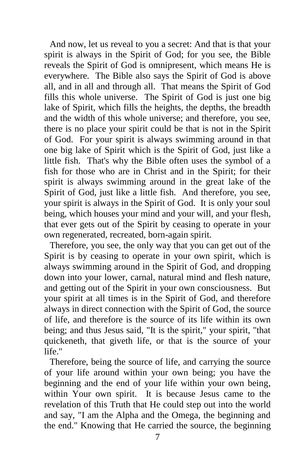And now, let us reveal to you a secret: And that is that your spirit is always in the Spirit of God; for you see, the Bible reveals the Spirit of God is omnipresent, which means He is everywhere. The Bible also says the Spirit of God is above all, and in all and through all. That means the Spirit of God fills this whole universe. The Spirit of God is just one big lake of Spirit, which fills the heights, the depths, the breadth and the width of this whole universe; and therefore, you see, there is no place your spirit could be that is not in the Spirit of God. For your spirit is always swimming around in that one big lake of Spirit which is the Spirit of God, just like a little fish. That's why the Bible often uses the symbol of a fish for those who are in Christ and in the Spirit; for their spirit is always swimming around in the great lake of the Spirit of God, just like a little fish. And therefore, you see, your spirit is always in the Spirit of God. It is only your soul being, which houses your mind and your will, and your flesh, that ever gets out of the Spirit by ceasing to operate in your own regenerated, recreated, born-again spirit.

Therefore, you see, the only way that you can get out of the Spirit is by ceasing to operate in your own spirit, which is always swimming around in the Spirit of God, and dropping down into your lower, carnal, natural mind and flesh nature, and getting out of the Spirit in your own consciousness. But your spirit at all times is in the Spirit of God, and therefore always in direct connection with the Spirit of God, the source of life, and therefore is the source of its life within its own being; and thus Jesus said, "It is the spirit," your spirit, "that quickeneth, that giveth life, or that is the source of your life."

Therefore, being the source of life, and carrying the source of your life around within your own being; you have the beginning and the end of your life within your own being, within Your own spirit. It is because Jesus came to the revelation of this Truth that He could step out into the world and say, "I am the Alpha and the Omega, the beginning and the end." Knowing that He carried the source, the beginning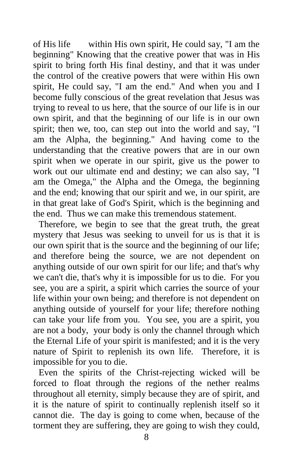of His life within His own spirit, He could say, "I am the beginning" Knowing that the creative power that was in His spirit to bring forth His final destiny, and that it was under the control of the creative powers that were within His own spirit, He could say, "I am the end." And when you and I become fully conscious of the great revelation that Jesus was trying to reveal to us here, that the source of our life is in our own spirit, and that the beginning of our life is in our own spirit; then we, too, can step out into the world and say, "I am the Alpha, the beginning." And having come to the understanding that the creative powers that are in our own spirit when we operate in our spirit, give us the power to work out our ultimate end and destiny; we can also say, "I am the Omega," the Alpha and the Omega, the beginning and the end; knowing that our spirit and we, in our spirit, are in that great lake of God's Spirit, which is the beginning and the end. Thus we can make this tremendous statement.

Therefore, we begin to see that the great truth, the great mystery that Jesus was seeking to unveil for us is that it is our own spirit that is the source and the beginning of our life; and therefore being the source, we are not dependent on anything outside of our own spirit for our life; and that's why we can't die, that's why it is impossible for us to die. For you see, you are a spirit, a spirit which carries the source of your life within your own being; and therefore is not dependent on anything outside of yourself for your life; therefore nothing can take your life from you. You see, you are a spirit, you are not a body, your body is only the channel through which the Eternal Life of your spirit is manifested; and it is the very nature of Spirit to replenish its own life. Therefore, it is impossible for you to die.

Even the spirits of the Christ-rejecting wicked will be forced to float through the regions of the nether realms throughout all eternity, simply because they are of spirit, and it is the nature of spirit to continually replenish itself so it cannot die. The day is going to come when, because of the torment they are suffering, they are going to wish they could,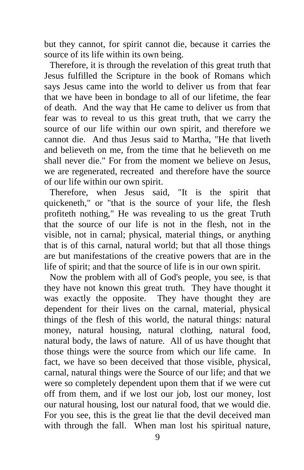but they cannot, for spirit cannot die, because it carries the source of its life within its own being.

Therefore, it is through the revelation of this great truth that Jesus fulfilled the Scripture in the book of Romans which says Jesus came into the world to deliver us from that fear that we have been in bondage to all of our lifetime, the fear of death. And the way that He came to deliver us from that fear was to reveal to us this great truth, that we carry the source of our life within our own spirit, and therefore we cannot die. And thus Jesus said to Martha, "He that liveth and believeth on me, from the time that he believeth on me shall never die." For from the moment we believe on Jesus, we are regenerated, recreated and therefore have the source of our life within our own spirit.

Therefore, when Jesus said, "It is the spirit that quickeneth," or "that is the source of your life, the flesh profiteth nothing," He was revealing to us the great Truth that the source of our life is not in the flesh, not in the visible, not in carnal; physical, material things, or anything that is of this carnal, natural world; but that all those things are but manifestations of the creative powers that are in the life of spirit; and that the source of life is in our own spirit.

Now the problem with all of God's people, you see, is that they have not known this great truth. They have thought it was exactly the opposite. They have thought they are dependent for their lives on the carnal, material, physical things of the flesh of this world, the natural things: natural money, natural housing, natural clothing, natural food, natural body, the laws of nature. All of us have thought that those things were the source from which our life came. In fact, we have so been deceived that those visible, physical, carnal, natural things were the Source of our life; and that we were so completely dependent upon them that if we were cut off from them, and if we lost our job, lost our money, lost our natural housing, lost our natural food, that we would die. For you see, this is the great lie that the devil deceived man with through the fall. When man lost his spiritual nature,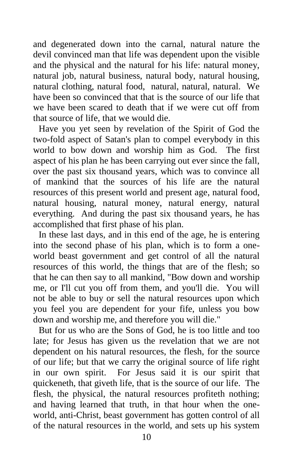and degenerated down into the carnal, natural nature the devil convinced man that life was dependent upon the visible and the physical and the natural for his life: natural money, natural job, natural business, natural body, natural housing, natural clothing, natural food, natural, natural, natural. We have been so convinced that that is the source of our life that we have been scared to death that if we were cut off from that source of life, that we would die.

Have you yet seen by revelation of the Spirit of God the two-fold aspect of Satan's plan to compel everybody in this world to bow down and worship him as God. The first aspect of his plan he has been carrying out ever since the fall, over the past six thousand years, which was to convince all of mankind that the sources of his life are the natural resources of this present world and present age, natural food, natural housing, natural money, natural energy, natural everything. And during the past six thousand years, he has accomplished that first phase of his plan.

In these last days, and in this end of the age, he is entering into the second phase of his plan, which is to form a oneworld beast government and get control of all the natural resources of this world, the things that are of the flesh; so that he can then say to all mankind, "Bow down and worship me, or I'll cut you off from them, and you'll die. You will not be able to buy or sell the natural resources upon which you feel you are dependent for your fife, unless you bow down and worship me, and therefore you will die."

But for us who are the Sons of God, he is too little and too late; for Jesus has given us the revelation that we are not dependent on his natural resources, the flesh, for the source of our life; but that we carry the original source of life right in our own spirit. For Jesus said it is our spirit that quickeneth, that giveth life, that is the source of our life. The flesh, the physical, the natural resources profiteth nothing; and having learned that truth, in that hour when the oneworld, anti-Christ, beast government has gotten control of all of the natural resources in the world, and sets up his system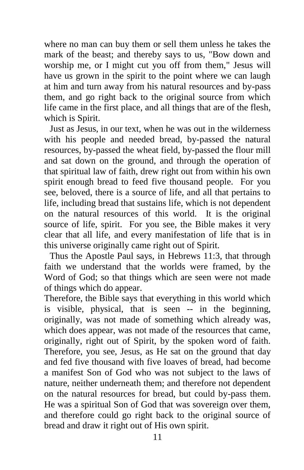where no man can buy them or sell them unless he takes the mark of the beast; and thereby says to us, "Bow down and worship me, or I might cut you off from them," Jesus will have us grown in the spirit to the point where we can laugh at him and turn away from his natural resources and by-pass them, and go right back to the original source from which life came in the first place, and all things that are of the flesh, which is Spirit.

Just as Jesus, in our text, when he was out in the wilderness with his people and needed bread, by-passed the natural resources, by-passed the wheat field, by-passed the flour mill and sat down on the ground, and through the operation of that spiritual law of faith, drew right out from within his own spirit enough bread to feed five thousand people. For you see, beloved, there is a source of life, and all that pertains to life, including bread that sustains life, which is not dependent on the natural resources of this world. It is the original source of life, spirit. For you see, the Bible makes it very clear that all life, and every manifestation of life that is in this universe originally came right out of Spirit.

Thus the Apostle Paul says, in Hebrews 11:3, that through faith we understand that the worlds were framed, by the Word of God; so that things which are seen were not made of things which do appear.

Therefore, the Bible says that everything in this world which is visible, physical, that is seen -- in the beginning, originally, was not made of something which already was, which does appear, was not made of the resources that came, originally, right out of Spirit, by the spoken word of faith. Therefore, you see, Jesus, as He sat on the ground that day and fed five thousand with five loaves of bread, had become a manifest Son of God who was not subject to the laws of nature, neither underneath them; and therefore not dependent on the natural resources for bread, but could by-pass them. He was a spiritual Son of God that was sovereign over them, and therefore could go right back to the original source of bread and draw it right out of His own spirit.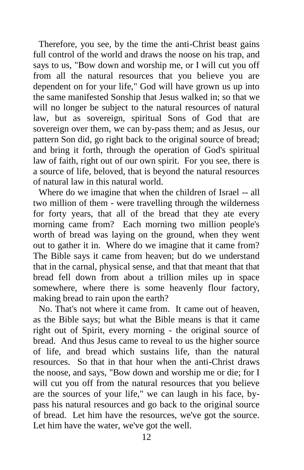Therefore, you see, by the time the anti-Christ beast gains full control of the world and draws the noose on his trap, and says to us, "Bow down and worship me, or I will cut you off from all the natural resources that you believe you are dependent on for your life," God will have grown us up into the same manifested Sonship that Jesus walked in; so that we will no longer be subject to the natural resources of natural law, but as sovereign, spiritual Sons of God that are sovereign over them, we can by-pass them; and as Jesus, our pattern Son did, go right back to the original source of bread; and bring it forth, through the operation of God's spiritual law of faith, right out of our own spirit. For you see, there is a source of life, beloved, that is beyond the natural resources of natural law in this natural world.

Where do we imagine that when the children of Israel -- all two million of them - were travelling through the wilderness for forty years, that all of the bread that they ate every morning came from? Each morning two million people's worth of bread was laying on the ground, when they went out to gather it in. Where do we imagine that it came from? The Bible says it came from heaven; but do we understand that in the carnal, physical sense, and that that meant that that bread fell down from about a trillion miles up in space somewhere, where there is some heavenly flour factory, making bread to rain upon the earth?

No. That's not where it came from. It came out of heaven, as the Bible says; but what the Bible means is that it came right out of Spirit, every morning - the original source of bread. And thus Jesus came to reveal to us the higher source of life, and bread which sustains life, than the natural resources. So that in that hour when the anti-Christ draws the noose, and says, "Bow down and worship me or die; for I will cut you off from the natural resources that you believe are the sources of your life," we can laugh in his face, bypass his natural resources and go back to the original source of bread. Let him have the resources, we've got the source. Let him have the water, we've got the well.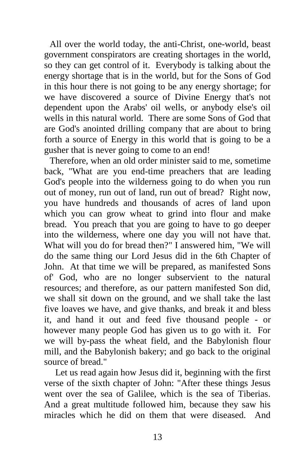All over the world today, the anti-Christ, one-world, beast government conspirators are creating shortages in the world, so they can get control of it. Everybody is talking about the energy shortage that is in the world, but for the Sons of God in this hour there is not going to be any energy shortage; for we have discovered a source of Divine Energy that's not dependent upon the Arabs' oil wells, or anybody else's oil wells in this natural world. There are some Sons of God that are God's anointed drilling company that are about to bring forth a source of Energy in this world that is going to be a gusher that is never going to come to an end!

Therefore, when an old order minister said to me, sometime back, "What are you end-time preachers that are leading God's people into the wilderness going to do when you run out of money, run out of land, run out of bread? Right now, you have hundreds and thousands of acres of land upon which you can grow wheat to grind into flour and make bread. You preach that you are going to have to go deeper into the wilderness, where one day you will not have that. What will you do for bread then?" I answered him, "We will do the same thing our Lord Jesus did in the 6th Chapter of John. At that time we will be prepared, as manifested Sons of' God, who are no longer subservient to the natural resources; and therefore, as our pattern manifested Son did, we shall sit down on the ground, and we shall take the last five loaves we have, and give thanks, and break it and bless it, and hand it out and feed five thousand people - or however many people God has given us to go with it. For we will by-pass the wheat field, and the Babylonish flour mill, and the Babylonish bakery; and go back to the original source of bread."

Let us read again how Jesus did it, beginning with the first verse of the sixth chapter of John: "After these things Jesus went over the sea of Galilee, which is the sea of Tiberias. And a great multitude followed him, because they saw his miracles which he did on them that were diseased. And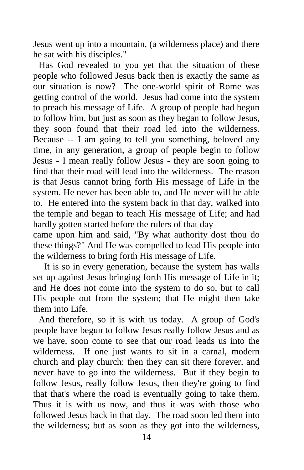Jesus went up into a mountain, (a wilderness place) and there he sat with his disciples."

Has God revealed to you yet that the situation of these people who followed Jesus back then is exactly the same as our situation is now? The one-world spirit of Rome was getting control of the world. Jesus had come into the system to preach his message of Life. A group of people had begun to follow him, but just as soon as they began to follow Jesus, they soon found that their road led into the wilderness. Because -- I am going to tell you something, beloved any time, in any generation, a group of people begin to follow Jesus - I mean really follow Jesus - they are soon going to find that their road will lead into the wilderness. The reason is that Jesus cannot bring forth His message of Life in the system. He never has been able to, and He never will be able to. He entered into the system back in that day, walked into the temple and began to teach His message of Life; and had hardly gotten started before the rulers of that day

came upon him and said, "By what authority dost thou do these things?" And He was compelled to lead His people into the wilderness to bring forth His message of Life.

It is so in every generation, because the system has walls set up against Jesus bringing forth His message of Life in it; and He does not come into the system to do so, but to call His people out from the system; that He might then take them into Life.

And therefore, so it is with us today. A group of God's people have begun to follow Jesus really follow Jesus and as we have, soon come to see that our road leads us into the wilderness. If one just wants to sit in a carnal, modern church and play church: then they can sit there forever, and never have to go into the wilderness. But if they begin to follow Jesus, really follow Jesus, then they're going to find that that's where the road is eventually going to take them. Thus it is with us now, and thus it was with those who followed Jesus back in that day. The road soon led them into the wilderness; but as soon as they got into the wilderness,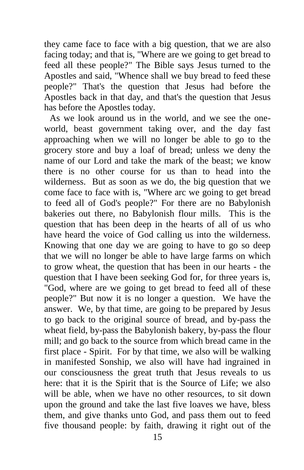they came face to face with a big question, that we are also facing today; and that is, "Where are we going to get bread to feed all these people?" The Bible says Jesus turned to the Apostles and said, "Whence shall we buy bread to feed these people?" That's the question that Jesus had before the Apostles back in that day, and that's the question that Jesus has before the Apostles today.

As we look around us in the world, and we see the oneworld, beast government taking over, and the day fast approaching when we will no longer be able to go to the grocery store and buy a loaf of bread; unless we deny the name of our Lord and take the mark of the beast; we know there is no other course for us than to head into the wilderness. But as soon as we do, the big question that we come face to face with is, "Where arc we going to get bread to feed all of God's people?" For there are no Babylonish bakeries out there, no Babylonish flour mills. This is the question that has been deep in the hearts of all of us who have heard the voice of God calling us into the wilderness. Knowing that one day we are going to have to go so deep that we will no longer be able to have large farms on which to grow wheat, the question that has been in our hearts - the question that I have been seeking God for, for three years is, "God, where are we going to get bread to feed all of these people?" But now it is no longer a question. We have the answer. We, by that time, are going to be prepared by Jesus to go back to the original source of bread, and by-pass the wheat field, by-pass the Babylonish bakery, by-pass the flour mill; and go back to the source from which bread came in the first place - Spirit. For by that time, we also will be walking in manifested Sonship, we also will have had ingrained in our consciousness the great truth that Jesus reveals to us here: that it is the Spirit that is the Source of Life; we also will be able, when we have no other resources, to sit down upon the ground and take the last five loaves we have, bless them, and give thanks unto God, and pass them out to feed five thousand people: by faith, drawing it right out of the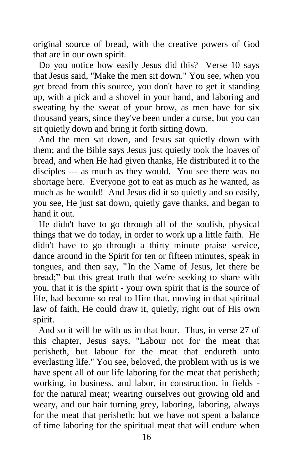original source of bread, with the creative powers of God that are in our own spirit.

Do you notice how easily Jesus did this? Verse 10 says that Jesus said, "Make the men sit down." You see, when you get bread from this source, you don't have to get it standing up, with a pick and a shovel in your hand, and laboring and sweating by the sweat of your brow, as men have for six thousand years, since they've been under a curse, but you can sit quietly down and bring it forth sitting down.

And the men sat down, and Jesus sat quietly down with them; and the Bible says Jesus just quietly took the loaves of bread, and when He had given thanks, He distributed it to the disciples --- as much as they would. You see there was no shortage here. Everyone got to eat as much as he wanted, as much as he would! And Jesus did it so quietly and so easily, you see, He just sat down, quietly gave thanks, and began to hand it out.

He didn't have to go through all of the soulish, physical things that we do today, in order to work up a little faith. He didn't have to go through a thirty minute praise service, dance around in the Spirit for ten or fifteen minutes, speak in tongues, and then say, **"**In the Name of Jesus, let there be bread;" but this great truth that we're seeking to share with you, that it is the spirit - your own spirit that is the source of life, had become so real to Him that, moving in that spiritual law of faith, He could draw it, quietly, right out of His own spirit.

And so it will be with us in that hour. Thus, in verse 27 of this chapter, Jesus says, "Labour not for the meat that perisheth, but labour for the meat that endureth unto everlasting life." You see, beloved, the problem with us is we have spent all of our life laboring for the meat that perisheth; working, in business, and labor, in construction, in fields for the natural meat; wearing ourselves out growing old and weary, and our hair turning grey, laboring, laboring, always for the meat that perisheth; but we have not spent a balance of time laboring for the spiritual meat that will endure when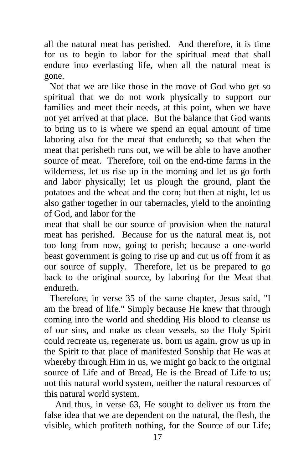all the natural meat has perished. And therefore, it is time for us to begin to labor for the spiritual meat that shall endure into everlasting life, when all the natural meat is gone.

Not that we are like those in the move of God who get so spiritual that we do not work physically to support our families and meet their needs, at this point, when we have not yet arrived at that place. But the balance that God wants to bring us to is where we spend an equal amount of time laboring also for the meat that endureth; so that when the meat that perisheth runs out, we will be able to have another source of meat. Therefore, toil on the end-time farms in the wilderness, let us rise up in the morning and let us go forth and labor physically; let us plough the ground, plant the potatoes and the wheat and the corn; but then at night, let us also gather together in our tabernacles, yield to the anointing of God, and labor for the

meat that shall be our source of provision when the natural meat has perished. Because for us the natural meat is, not too long from now, going to perish; because a one-world beast government is going to rise up and cut us off from it as our source of supply. Therefore, let us be prepared to go back to the original source, by laboring for the Meat that endureth.

Therefore, in verse 35 of the same chapter, Jesus said, "I am the bread of life." Simply because He knew that through coming into the world and shedding His blood to cleanse us of our sins, and make us clean vessels, so the Holy Spirit could recreate us, regenerate us. born us again, grow us up in the Spirit to that place of manifested Sonship that He was at whereby through Him in us, we might go back to the original source of Life and of Bread, He is the Bread of Life to us; not this natural world system, neither the natural resources of this natural world system.

And thus, in verse 63, He sought to deliver us from the false idea that we are dependent on the natural, the flesh, the visible, which profiteth nothing, for the Source of our Life;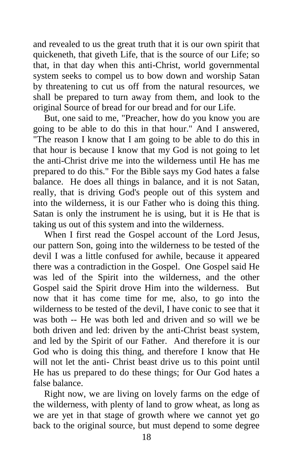and revealed to us the great truth that it is our own spirit that quickeneth, that giveth Life, that is the source of our Life; so that, in that day when this anti-Christ, world governmental system seeks to compel us to bow down and worship Satan by threatening to cut us off from the natural resources, we shall be prepared to turn away from them, and look to the original Source of bread for our bread and for our Life.

But, one said to me, "Preacher, how do you know you are going to be able to do this in that hour." And I answered, "The reason I know that I am going to be able to do this in that hour is because I know that my God is not going to let the anti-Christ drive me into the wilderness until He has me prepared to do this." For the Bible says my God hates a false balance. He does all things in balance, and it is not Satan, really, that is driving God's people out of this system and into the wilderness, it is our Father who is doing this thing. Satan is only the instrument he is using, but it is He that is taking us out of this system and into the wilderness.

When I first read the Gospel account of the Lord Jesus, our pattern Son, going into the wilderness to be tested of the devil I was a little confused for awhile, because it appeared there was a contradiction in the Gospel. One Gospel said He was led of the Spirit into the wilderness, and the other Gospel said the Spirit drove Him into the wilderness. But now that it has come time for me, also, to go into the wilderness to be tested of the devil, I have conic to see that it was both -- He was both led and driven and so will we be both driven and led: driven by the anti-Christ beast system, and led by the Spirit of our Father. And therefore it is our God who is doing this thing, and therefore I know that He will not let the anti- Christ beast drive us to this point until He has us prepared to do these things; for Our God hates a false balance.

Right now, we are living on lovely farms on the edge of the wilderness, with plenty of land to grow wheat, as long as we are yet in that stage of growth where we cannot yet go back to the original source, but must depend to some degree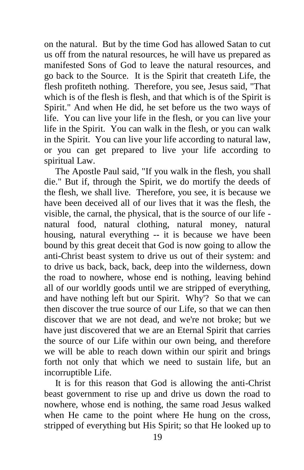on the natural. But by the time God has allowed Satan to cut us off from the natural resources, he will have us prepared as manifested Sons of God to leave the natural resources, and go back to the Source. It is the Spirit that createth Life, the flesh profiteth nothing. Therefore, you see, Jesus said, "That which is of the flesh is flesh, and that which is of the Spirit is Spirit." And when He did, he set before us the two ways of life. You can live your life in the flesh, or you can live your life in the Spirit. You can walk in the flesh, or you can walk in the Spirit. You can live your life according to natural law, or you can get prepared to live your life according to spiritual Law.

The Apostle Paul said, "If you walk in the flesh, you shall die." But if, through the Spirit, we do mortify the deeds of the flesh, we shall live. Therefore, you see, it is because we have been deceived all of our lives that it was the flesh, the visible, the carnal, the physical, that is the source of our life natural food, natural clothing, natural money, natural housing, natural everything -- it is because we have been bound by this great deceit that God is now going to allow the anti-Christ beast system to drive us out of their system: and to drive us back, back, back, deep into the wilderness, down the road to nowhere, whose end is nothing, leaving behind all of our worldly goods until we are stripped of everything, and have nothing left but our Spirit. Why'? So that we can then discover the true source of our Life, so that we can then discover that we are not dead, and we're not broke; but we have just discovered that we are an Eternal Spirit that carries the source of our Life within our own being, and therefore we will be able to reach down within our spirit and brings forth not only that which we need to sustain life, but an incorruptible Life.

It is for this reason that God is allowing the anti-Christ beast government to rise up and drive us down the road to nowhere, whose end is nothing, the same road Jesus walked when He came to the point where He hung on the cross, stripped of everything but His Spirit; so that He looked up to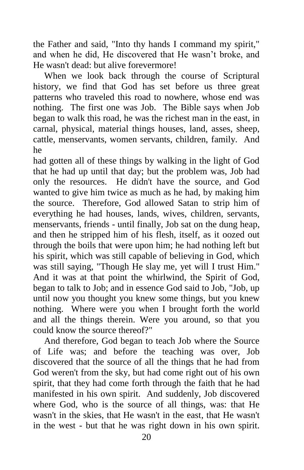the Father and said, "Into thy hands I command my spirit," and when he did, He discovered that He wasn't broke, and He wasn't dead: but alive forevermore!

When we look back through the course of Scriptural history, we find that God has set before us three great patterns who traveled this road to nowhere, whose end was nothing. The first one was Job. The Bible says when Job began to walk this road, he was the richest man in the east, in carnal, physical, material things houses, land, asses, sheep, cattle, menservants, women servants, children, family. And he

had gotten all of these things by walking in the light of God that he had up until that day; but the problem was, Job had only the resources. He didn't have the source, and God wanted to give him twice as much as he had, by making him the source. Therefore, God allowed Satan to strip him of everything he had houses, lands, wives, children, servants, menservants, friends - until finally, Job sat on the dung heap, and then he stripped him of his flesh, itself, as it oozed out through the boils that were upon him; he had nothing left but his spirit, which was still capable of believing in God, which was still saying, "Though He slay me, yet will I trust Him." And it was at that point the whirlwind, the Spirit of God, began to talk to Job; and in essence God said to Job, "Job, up until now you thought you knew some things, but you knew nothing. Where were you when I brought forth the world and all the things therein. Were you around, so that you could know the source thereof?"

And therefore, God began to teach Job where the Source of Life was; and before the teaching was over, Job discovered that the source of all the things that he had from God weren't from the sky, but had come right out of his own spirit, that they had come forth through the faith that he had manifested in his own spirit. And suddenly, Job discovered where God, who is the source of all things, was: that He wasn't in the skies, that He wasn't in the east, that He wasn't in the west - but that he was right down in his own spirit.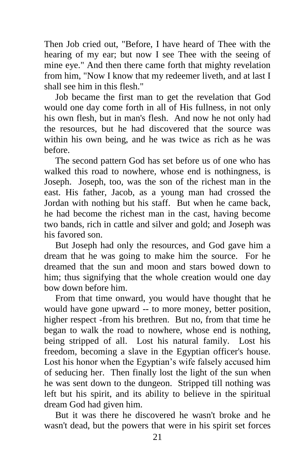Then Job cried out, "Before, I have heard of Thee with the hearing of my ear; but now I see Thee with the seeing of mine eye." And then there came forth that mighty revelation from him, "Now I know that my redeemer liveth, and at last I shall see him in this flesh."

Job became the first man to get the revelation that God would one day come forth in all of His fullness, in not only his own flesh, but in man's flesh. And now he not only had the resources, but he had discovered that the source was within his own being, and he was twice as rich as he was before.

The second pattern God has set before us of one who has walked this road to nowhere, whose end is nothingness, is Joseph. Joseph, too, was the son of the richest man in the east. His father, Jacob, as a young man had crossed the Jordan with nothing but his staff. But when he came back, he had become the richest man in the cast, having become two bands, rich in cattle and silver and gold; and Joseph was his favored son.

But Joseph had only the resources, and God gave him a dream that he was going to make him the source. For he dreamed that the sun and moon and stars bowed down to him; thus signifying that the whole creation would one day bow down before him.

From that time onward, you would have thought that he would have gone upward -- to more money, better position, higher respect -from his brethren. But no, from that time he began to walk the road to nowhere, whose end is nothing, being stripped of all. Lost his natural family. Lost his freedom, becoming a slave in the Egyptian officer's house. Lost his honor when the Egyptian's wife falsely accused him of seducing her. Then finally lost the light of the sun when he was sent down to the dungeon. Stripped till nothing was left but his spirit, and its ability to believe in the spiritual dream God had given him.

But it was there he discovered he wasn't broke and he wasn't dead, but the powers that were in his spirit set forces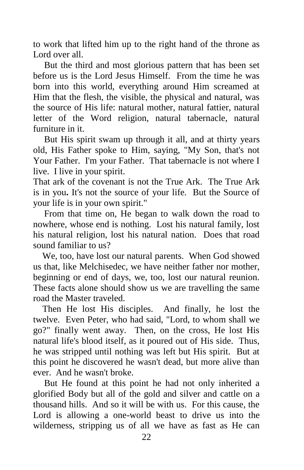to work that lifted him up to the right hand of the throne as Lord over all.

But the third and most glorious pattern that has been set before us is the Lord Jesus Himself. From the time he was born into this world, everything around Him screamed at Him that the flesh, the visible, the physical and natural, was the source of His life: natural mother, natural fattier, natural letter of the Word religion, natural tabernacle, natural furniture in it.

But His spirit swam up through it all, and at thirty years old, His Father spoke to Him, saying, "My Son, that's not Your Father. I'm your Father. That tabernacle is not where I live. I live in your spirit.

That ark of the covenant is not the True Ark. The True Ark is in you**.** It's not the source of your life. But the Source of your life is in your own spirit."

From that time on, He began to walk down the road to nowhere, whose end is nothing. Lost his natural family, lost his natural religion, lost his natural nation. Does that road sound familiar to us?

 We, too, have lost our natural parents. When God showed us that, like Melchisedec, we have neither father nor mother, beginning or end of days, we, too, lost our natural reunion. These facts alone should show us we are travelling the same road the Master traveled.

 Then He lost His disciples. And finally, he lost the twelve. Even Peter, who had said, "Lord, to whom shall we go?" finally went away. Then, on the cross, He lost His natural life's blood itself, as it poured out of His side. Thus, he was stripped until nothing was left but His spirit. But at this point he discovered he wasn't dead, but more alive than ever. And he wasn't broke.

But He found at this point he had not only inherited a glorified Body but all of the gold and silver and cattle on a thousand hills. And so it will be with us. For this cause, the Lord is allowing a one-world beast to drive us into the wilderness, stripping us of all we have as fast as He can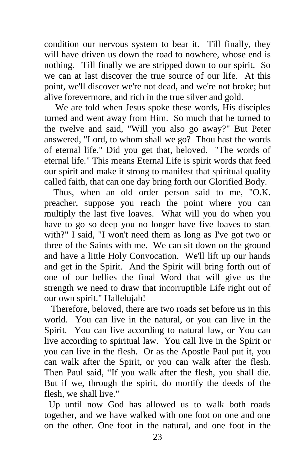condition our nervous system to bear it. Till finally, they will have driven us down the road to nowhere, whose end is nothing. 'Till finally we are stripped down to our spirit. So we can at last discover the true source of our life. At this point, we'll discover we're not dead, and we're not broke; but alive forevermore, and rich in the true silver and gold.

We are told when Jesus spoke these words, His disciples turned and went away from Him. So much that he turned to the twelve and said, "Will you also go away?" But Peter answered, "Lord, to whom shall we go? Thou hast the words of eternal life." Did you get that, beloved. "The words of eternal life." This means Eternal Life is spirit words that feed our spirit and make it strong to manifest that spiritual quality called faith, that can one day bring forth our Glorified Body.

 Thus, when an old order person said to me, "O.K. preacher, suppose you reach the point where you can multiply the last five loaves. What will you do when you have to go so deep you no longer have five loaves to start with?" I said, "I won't need them as long as I've got two or three of the Saints with me. We can sit down on the ground and have a little Holy Convocation. We'll lift up our hands and get in the Spirit. And the Spirit will bring forth out of one of our bellies the final Word that will give us the strength we need to draw that incorruptible Life right out of our own spirit." Hallelujah!

 Therefore, beloved, there are two roads set before us in this world. You can live in the natural, or you can live in the Spirit. You can live according to natural law, or You can live according to spiritual law. You call live in the Spirit or you can live in the flesh. Or as the Apostle Paul put it, you can walk after the Spirit, or you can walk after the flesh. Then Paul said, "If you walk after the flesh, you shall die. But if we, through the spirit, do mortify the deeds of the flesh, we shall live."

 Up until now God has allowed us to walk both roads together, and we have walked with one foot on one and one on the other. One foot in the natural, and one foot in the